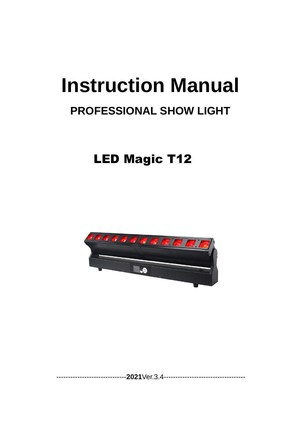# **Instruction Manual**

# **PROFESSIONAL SHOW LIGHT**

# LED Magic T12

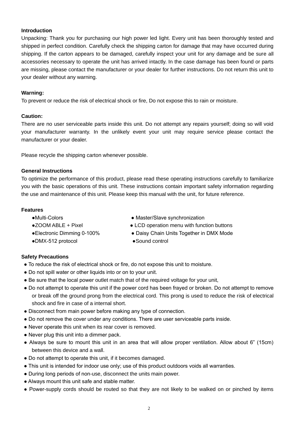#### **Introduction**

Unpacking: Thank you for purchasing our high power led light. Every unit has been thoroughly tested and shipped in perfect condition. Carefully check the shipping carton for damage that may have occurred during shipping. If the carton appears to be damaged, carefully inspect your unit for any damage and be sure all accessories necessary to operate the unit has arrived intactly. In the case damage has been found or parts are missing, please contact the manufacturer or your dealer for further instructions. Do not return this unit to your dealer without any warning.

#### **Warning:**

To prevent or reduce the risk of electrical shock or fire, Do not expose this to rain or moisture.

#### **Caution:**

There are no user serviceable parts inside this unit. Do not attempt any repairs yourself; doing so will void your manufacturer warranty. In the unlikely event your unit may require service please contact the manufacturer or your dealer.

Please recycle the shipping carton whenever possible.

#### **General Instructions**

To optimize the performance of this product, please read these operating instructions carefully to familiarize you with the basic operations of this unit. These instructions contain important safety information regarding the use and maintenance of this unit. Please keep this manual with the unit, for future reference.

#### **Features**

- 
- 
- 
- ●DMX-512 protocol ●Sound control
- Multi-Colors Master/Slave synchronization
- ●ZOOM ABLE + Pixel ● LCD operation menu with function buttons
- ●Electronic Dimming 0-100% Daisy Chain Units Together in DMX Mode
	-

#### **Safety Precautions**

- To reduce the risk of electrical shock or fire, do not expose this unit to moisture.
- Do not spill water or other liquids into or on to your unit.
- Be sure that the local power outlet match that of the required voltage for your unit,
- Do not attempt to operate this unit if the power cord has been frayed or broken. Do not attempt to remove or break off the ground prong from the electrical cord. This prong is used to reduce the risk of electrical shock and fire in case of a internal short.
- Disconnect from main power before making any type of connection.
- Do not remove the cover under any conditions. There are user serviceable parts inside.
- Never operate this unit when its rear cover is removed.
- Never plug this unit into a dimmer pack.
- Always be sure to mount this unit in an area that will allow proper ventilation. Allow about 6" (15cm) between this device and a wall.
- Do not attempt to operate this unit, if it becomes damaged.
- This unit is intended for indoor use only; use of this product outdoors voids all warranties.
- During long periods of non-use, disconnect the units main power.
- Always mount this unit safe and stable matter.
- Power-supply cords should be routed so that they are not likely to be walked on or pinched by items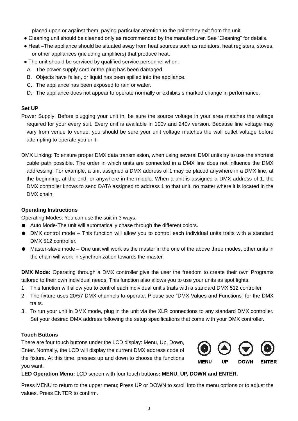placed upon or against them, paying particular attention to the point they exit from the unit.

- Cleaning unit should be cleaned only as recommended by the manufacturer. See 'Cleaning" for details.
- Heat –The appliance should be situated away from heat sources such as radiators, heat registers, stoves, or other appliances (including amplifiers) that produce heat.
- The unit should be serviced by qualified service personnel when:
	- A. The power-supply cord or the plug has been damaged.
- B. Objects have fallen, or liquid has been spilled into the appliance.
- C. The appliance has been exposed to rain or water.
- D. The appliance does not appear to operate normally or exhibits s marked change in performance.

#### **Set UP**

- Power Supply: Before plugging your unit in, be sure the source voltage in your area matches the voltage required for your every suit. Every unit is available in 100v and 240v version. Because line voltage may vary from venue to venue, you should be sure your unit voltage matches the wall outlet voltage before attempting to operate you unit.
- DMX Linking: To ensure proper DMX data transmission, when using several DMX units try to use the shortest cable path possible. The order in which units are connected in a DMX line does not influence the DMX addressing. For example; a unit assigned a DMX address of 1 may be placed anywhere in a DMX line, at the beginning, at the end, or anywhere in the middle. When a unit is assigned a DMX address of 1, the DMX controller knows to send DATA assigned to address 1 to that unit, no matter where it is located in the DMX chain.

### **Operating Instructions**

Operating Modes: You can use the suit in 3 ways:

- Auto Mode-The unit will automatically chase through the different colors.
- DMX control mode This function will allow you to control each individual units traits with a standard DMX 512 controller.
- Master-slave mode One unit will work as the master in the one of the above three modes, other units in the chain will work in synchronization towards the master.

**DMX Mode:** Operating through a DMX controller give the user the freedom to create their own Programs tailored to their own individual needs. This function also allows you to use your units as spot lights.

- 1. This function will allow you to control each individual unit's traits with a standard DMX 512 controller.
- 2. The fixture uses 20/57 DMX channels to operate. Please see "DMX Values and Functions" for the DMX traits.
- 3. To run your unit in DMX mode, plug in the unit via the XLR connections to any standard DMX controller. Set your desired DMX address following the setup specifications that come with your DMX controller.

#### **Touch Buttons**

There are four touch buttons under the LCD display: Menu, Up, Down, Enter. Normally, the LCD will display the current DMX address code of the fixture. At this time, presses up and down to choose the functions you want.

**MENU FNTFR** ш DOWN

**LED Operation Menu:** LCD screen with four touch buttons**: MENU, UP, DOWN and ENTER.**

Press MENU to return to the upper menu; Press UP or DOWN to scroll into the menu options or to adjust the values. Press ENTER to confirm.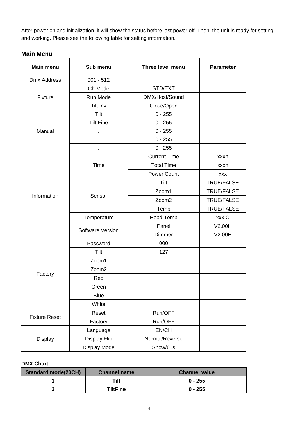After power on and initialization, it will show the status before last power off. Then, the unit is ready for setting and working. Please see the following table for setting information.

# **Main Menu**

| <b>Main menu</b>     | Sub menu         | <b>Three level menu</b> | <b>Parameter</b>  |
|----------------------|------------------|-------------------------|-------------------|
| <b>Dmx Address</b>   | $001 - 512$      |                         |                   |
|                      | Ch Mode          | STD/EXT                 |                   |
| Fixture              | Run Mode         | DMX/Host/Sound          |                   |
|                      | Tilt Inv         | Close/Open              |                   |
|                      | Tilt             | $0 - 255$               |                   |
|                      | <b>Tilt Fine</b> | $0 - 255$               |                   |
| Manual               |                  | $0 - 255$               |                   |
|                      |                  | $0 - 255$               |                   |
|                      |                  | $0 - 255$               |                   |
|                      |                  | <b>Current Time</b>     | xxxh              |
|                      | Time             | <b>Total Time</b>       | xxxh              |
|                      |                  | <b>Power Count</b>      | <b>XXX</b>        |
|                      |                  | Tilt                    | <b>TRUE/FALSE</b> |
| Information          | Sensor           | Zoom1                   | <b>TRUE/FALSE</b> |
|                      |                  | Zoom2                   | <b>TRUE/FALSE</b> |
|                      |                  | Temp                    | <b>TRUE/FALSE</b> |
|                      | Temperature      | <b>Head Temp</b>        | xxx C             |
|                      | Software Version | Panel                   | V2.00H            |
|                      |                  | Dimmer                  | V2.00H            |
|                      | Password         | 000                     |                   |
|                      | Tilt             | 127                     |                   |
|                      | Zoom1            |                         |                   |
|                      | Zoom2            |                         |                   |
| Factory              | Red              |                         |                   |
|                      | Green            |                         |                   |
|                      | <b>Blue</b>      |                         |                   |
|                      | White            |                         |                   |
|                      | Reset            | Run/OFF                 |                   |
| <b>Fixture Reset</b> | Factory          | Run/OFF                 |                   |
|                      | Language         | EN/CH                   |                   |
| Display              | Display Flip     | Normal/Reverse          |                   |
|                      | Display Mode     | Show/60s                |                   |

#### **DMX Chart:**

| <b>Standard mode(20CH)</b> | <b>Channel name</b> | <b>Channel value</b> |
|----------------------------|---------------------|----------------------|
|                            | Tilt                | $0 - 255$            |
| -                          | <b>TiltFine</b>     | $0 - 255$            |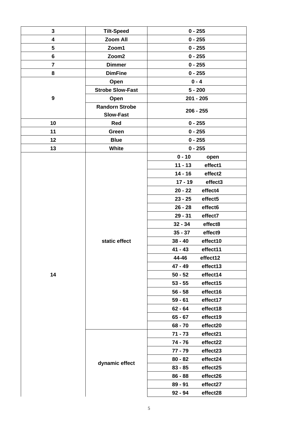| $\mathbf 3$      | <b>Tilt-Speed</b>       | $0 - 255$             |  |
|------------------|-------------------------|-----------------------|--|
| 4                | <b>Zoom All</b>         | $0 - 255$             |  |
| 5                | Zoom1                   | $0 - 255$             |  |
| 6                | Zoom2                   | $0 - 255$             |  |
| $\overline{7}$   | <b>Dimmer</b>           | $0 - 255$             |  |
| 8                | <b>DimFine</b>          | $0 - 255$             |  |
|                  | Open                    | $0 - 4$               |  |
|                  | <b>Strobe Slow-Fast</b> | $5 - 200$             |  |
| $\boldsymbol{9}$ | Open                    | 201 - 205             |  |
|                  | <b>Randorn Strobe</b>   | 206 - 255             |  |
|                  | <b>Slow-Fast</b>        |                       |  |
| 10               | Red                     | $0 - 255$             |  |
| 11               | Green                   | $0 - 255$             |  |
| 12               | <b>Blue</b>             | $0 - 255$             |  |
| 13               | <b>White</b>            | $0 - 255$             |  |
|                  |                         | $0 - 10$<br>open      |  |
|                  |                         | $11 - 13$<br>effect1  |  |
|                  |                         | $14 - 16$<br>effect2  |  |
|                  |                         | $17 - 19$<br>effect3  |  |
|                  |                         | $20 - 22$<br>effect4  |  |
|                  |                         | $23 - 25$<br>effect5  |  |
|                  |                         | $26 - 28$<br>effect6  |  |
|                  |                         | $29 - 31$<br>effect7  |  |
|                  |                         | $32 - 34$<br>effect8  |  |
|                  |                         | $35 - 37$<br>effect9  |  |
|                  | static effect           | $38 - 40$<br>effect10 |  |
|                  |                         | $41 - 43$<br>effect11 |  |
|                  |                         | 44-46<br>effect12     |  |
|                  |                         | 47 - 49<br>effect13   |  |
| 14               |                         | $50 - 52$<br>effect14 |  |
|                  |                         | $53 - 55$<br>effect15 |  |
|                  |                         | $56 - 58$<br>effect16 |  |
|                  |                         | effect17<br>$59 - 61$ |  |
|                  |                         | effect18<br>$62 - 64$ |  |
|                  |                         | effect19<br>$65 - 67$ |  |
|                  |                         | $68 - 70$<br>effect20 |  |
|                  |                         | $71 - 73$<br>effect21 |  |
|                  |                         | 74 - 76<br>effect22   |  |
|                  | dynamic effect          | 77 - 79<br>effect23   |  |
|                  |                         | $80 - 82$<br>effect24 |  |
|                  |                         | effect25<br>$83 - 85$ |  |
|                  |                         | $86 - 88$<br>effect26 |  |
|                  |                         | 89 - 91<br>effect27   |  |
|                  |                         | $92 - 94$<br>effect28 |  |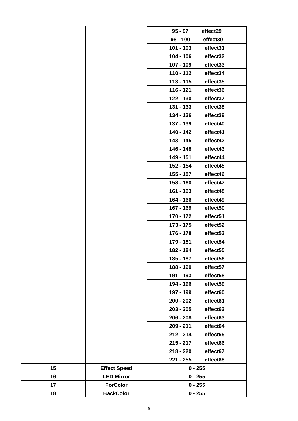| $95 - 97$<br>effect29<br>effect30<br>$98 - 100$<br>effect31<br>$101 - 103$<br>effect32<br>$104 - 106$<br>effect33<br>107 - 109<br>$110 - 112$<br>effect34<br>$113 - 115$<br>effect35<br>116 - 121<br>effect36<br>122 - 130<br>effect37<br>effect38<br>131 - 133<br>effect39<br>134 - 136<br>effect40<br>137 - 139<br>140 - 142<br>effect41<br>143 - 145<br>effect42<br>effect43<br>146 - 148<br>effect44<br>149 - 151<br>effect45<br>152 - 154<br>155 - 157<br>effect46<br>effect47<br>158 - 160<br>effect48<br>$161 - 163$<br>164 - 166<br>effect49<br>167 - 169<br>effect50<br>effect51<br>170 - 172<br>effect52<br>173 - 175<br>effect53<br>176 - 178<br>effect54<br>179 - 181<br>182 - 184<br>effect55<br>185 - 187<br>effect56<br>188 - 190<br>effect57<br>191 - 193<br>effect58<br>effect59<br>194 - 196<br>197 - 199<br>effect60<br>$200 - 202$<br>effect61<br>$203 - 205$<br>effect62<br>effect63<br>$206 - 208$<br>effect64<br>209 - 211<br>$212 - 214$<br>effect65<br>$215 - 217$<br>effect66<br>218 - 220<br>effect67<br>221 - 255<br>effect68<br><b>Effect Speed</b><br>$0 - 255$<br><b>LED Mirror</b><br>$0 - 255$<br><b>ForColor</b><br>$0 - 255$<br><b>BackColor</b><br>$0 - 255$ |  |  |
|--------------------------------------------------------------------------------------------------------------------------------------------------------------------------------------------------------------------------------------------------------------------------------------------------------------------------------------------------------------------------------------------------------------------------------------------------------------------------------------------------------------------------------------------------------------------------------------------------------------------------------------------------------------------------------------------------------------------------------------------------------------------------------------------------------------------------------------------------------------------------------------------------------------------------------------------------------------------------------------------------------------------------------------------------------------------------------------------------------------------------------------------------------------------------------------------------|--|--|
|                                                                                                                                                                                                                                                                                                                                                                                                                                                                                                                                                                                                                                                                                                                                                                                                                                                                                                                                                                                                                                                                                                                                                                                                  |  |  |
|                                                                                                                                                                                                                                                                                                                                                                                                                                                                                                                                                                                                                                                                                                                                                                                                                                                                                                                                                                                                                                                                                                                                                                                                  |  |  |
|                                                                                                                                                                                                                                                                                                                                                                                                                                                                                                                                                                                                                                                                                                                                                                                                                                                                                                                                                                                                                                                                                                                                                                                                  |  |  |
|                                                                                                                                                                                                                                                                                                                                                                                                                                                                                                                                                                                                                                                                                                                                                                                                                                                                                                                                                                                                                                                                                                                                                                                                  |  |  |
|                                                                                                                                                                                                                                                                                                                                                                                                                                                                                                                                                                                                                                                                                                                                                                                                                                                                                                                                                                                                                                                                                                                                                                                                  |  |  |
|                                                                                                                                                                                                                                                                                                                                                                                                                                                                                                                                                                                                                                                                                                                                                                                                                                                                                                                                                                                                                                                                                                                                                                                                  |  |  |
|                                                                                                                                                                                                                                                                                                                                                                                                                                                                                                                                                                                                                                                                                                                                                                                                                                                                                                                                                                                                                                                                                                                                                                                                  |  |  |
|                                                                                                                                                                                                                                                                                                                                                                                                                                                                                                                                                                                                                                                                                                                                                                                                                                                                                                                                                                                                                                                                                                                                                                                                  |  |  |
|                                                                                                                                                                                                                                                                                                                                                                                                                                                                                                                                                                                                                                                                                                                                                                                                                                                                                                                                                                                                                                                                                                                                                                                                  |  |  |
|                                                                                                                                                                                                                                                                                                                                                                                                                                                                                                                                                                                                                                                                                                                                                                                                                                                                                                                                                                                                                                                                                                                                                                                                  |  |  |
|                                                                                                                                                                                                                                                                                                                                                                                                                                                                                                                                                                                                                                                                                                                                                                                                                                                                                                                                                                                                                                                                                                                                                                                                  |  |  |
|                                                                                                                                                                                                                                                                                                                                                                                                                                                                                                                                                                                                                                                                                                                                                                                                                                                                                                                                                                                                                                                                                                                                                                                                  |  |  |
|                                                                                                                                                                                                                                                                                                                                                                                                                                                                                                                                                                                                                                                                                                                                                                                                                                                                                                                                                                                                                                                                                                                                                                                                  |  |  |
|                                                                                                                                                                                                                                                                                                                                                                                                                                                                                                                                                                                                                                                                                                                                                                                                                                                                                                                                                                                                                                                                                                                                                                                                  |  |  |
|                                                                                                                                                                                                                                                                                                                                                                                                                                                                                                                                                                                                                                                                                                                                                                                                                                                                                                                                                                                                                                                                                                                                                                                                  |  |  |
|                                                                                                                                                                                                                                                                                                                                                                                                                                                                                                                                                                                                                                                                                                                                                                                                                                                                                                                                                                                                                                                                                                                                                                                                  |  |  |
|                                                                                                                                                                                                                                                                                                                                                                                                                                                                                                                                                                                                                                                                                                                                                                                                                                                                                                                                                                                                                                                                                                                                                                                                  |  |  |
|                                                                                                                                                                                                                                                                                                                                                                                                                                                                                                                                                                                                                                                                                                                                                                                                                                                                                                                                                                                                                                                                                                                                                                                                  |  |  |
|                                                                                                                                                                                                                                                                                                                                                                                                                                                                                                                                                                                                                                                                                                                                                                                                                                                                                                                                                                                                                                                                                                                                                                                                  |  |  |
|                                                                                                                                                                                                                                                                                                                                                                                                                                                                                                                                                                                                                                                                                                                                                                                                                                                                                                                                                                                                                                                                                                                                                                                                  |  |  |
|                                                                                                                                                                                                                                                                                                                                                                                                                                                                                                                                                                                                                                                                                                                                                                                                                                                                                                                                                                                                                                                                                                                                                                                                  |  |  |
|                                                                                                                                                                                                                                                                                                                                                                                                                                                                                                                                                                                                                                                                                                                                                                                                                                                                                                                                                                                                                                                                                                                                                                                                  |  |  |
|                                                                                                                                                                                                                                                                                                                                                                                                                                                                                                                                                                                                                                                                                                                                                                                                                                                                                                                                                                                                                                                                                                                                                                                                  |  |  |
|                                                                                                                                                                                                                                                                                                                                                                                                                                                                                                                                                                                                                                                                                                                                                                                                                                                                                                                                                                                                                                                                                                                                                                                                  |  |  |
|                                                                                                                                                                                                                                                                                                                                                                                                                                                                                                                                                                                                                                                                                                                                                                                                                                                                                                                                                                                                                                                                                                                                                                                                  |  |  |
|                                                                                                                                                                                                                                                                                                                                                                                                                                                                                                                                                                                                                                                                                                                                                                                                                                                                                                                                                                                                                                                                                                                                                                                                  |  |  |
|                                                                                                                                                                                                                                                                                                                                                                                                                                                                                                                                                                                                                                                                                                                                                                                                                                                                                                                                                                                                                                                                                                                                                                                                  |  |  |
|                                                                                                                                                                                                                                                                                                                                                                                                                                                                                                                                                                                                                                                                                                                                                                                                                                                                                                                                                                                                                                                                                                                                                                                                  |  |  |
|                                                                                                                                                                                                                                                                                                                                                                                                                                                                                                                                                                                                                                                                                                                                                                                                                                                                                                                                                                                                                                                                                                                                                                                                  |  |  |
|                                                                                                                                                                                                                                                                                                                                                                                                                                                                                                                                                                                                                                                                                                                                                                                                                                                                                                                                                                                                                                                                                                                                                                                                  |  |  |
|                                                                                                                                                                                                                                                                                                                                                                                                                                                                                                                                                                                                                                                                                                                                                                                                                                                                                                                                                                                                                                                                                                                                                                                                  |  |  |
|                                                                                                                                                                                                                                                                                                                                                                                                                                                                                                                                                                                                                                                                                                                                                                                                                                                                                                                                                                                                                                                                                                                                                                                                  |  |  |
|                                                                                                                                                                                                                                                                                                                                                                                                                                                                                                                                                                                                                                                                                                                                                                                                                                                                                                                                                                                                                                                                                                                                                                                                  |  |  |
|                                                                                                                                                                                                                                                                                                                                                                                                                                                                                                                                                                                                                                                                                                                                                                                                                                                                                                                                                                                                                                                                                                                                                                                                  |  |  |
|                                                                                                                                                                                                                                                                                                                                                                                                                                                                                                                                                                                                                                                                                                                                                                                                                                                                                                                                                                                                                                                                                                                                                                                                  |  |  |
|                                                                                                                                                                                                                                                                                                                                                                                                                                                                                                                                                                                                                                                                                                                                                                                                                                                                                                                                                                                                                                                                                                                                                                                                  |  |  |
|                                                                                                                                                                                                                                                                                                                                                                                                                                                                                                                                                                                                                                                                                                                                                                                                                                                                                                                                                                                                                                                                                                                                                                                                  |  |  |
|                                                                                                                                                                                                                                                                                                                                                                                                                                                                                                                                                                                                                                                                                                                                                                                                                                                                                                                                                                                                                                                                                                                                                                                                  |  |  |
|                                                                                                                                                                                                                                                                                                                                                                                                                                                                                                                                                                                                                                                                                                                                                                                                                                                                                                                                                                                                                                                                                                                                                                                                  |  |  |
|                                                                                                                                                                                                                                                                                                                                                                                                                                                                                                                                                                                                                                                                                                                                                                                                                                                                                                                                                                                                                                                                                                                                                                                                  |  |  |
|                                                                                                                                                                                                                                                                                                                                                                                                                                                                                                                                                                                                                                                                                                                                                                                                                                                                                                                                                                                                                                                                                                                                                                                                  |  |  |
|                                                                                                                                                                                                                                                                                                                                                                                                                                                                                                                                                                                                                                                                                                                                                                                                                                                                                                                                                                                                                                                                                                                                                                                                  |  |  |
|                                                                                                                                                                                                                                                                                                                                                                                                                                                                                                                                                                                                                                                                                                                                                                                                                                                                                                                                                                                                                                                                                                                                                                                                  |  |  |
|                                                                                                                                                                                                                                                                                                                                                                                                                                                                                                                                                                                                                                                                                                                                                                                                                                                                                                                                                                                                                                                                                                                                                                                                  |  |  |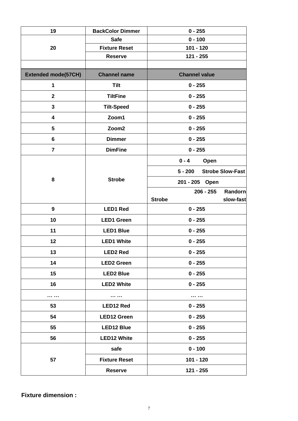| 19                         | <b>BackColor Dimmer</b> | $0 - 255$                            |  |
|----------------------------|-------------------------|--------------------------------------|--|
|                            | <b>Safe</b>             | $0 - 100$                            |  |
| 20                         | <b>Fixture Reset</b>    | 101 - 120                            |  |
|                            | <b>Reserve</b>          | 121 - 255                            |  |
|                            |                         |                                      |  |
| <b>Extended mode(57CH)</b> | <b>Channel name</b>     | <b>Channel value</b>                 |  |
| 1                          | <b>Tilt</b>             | $0 - 255$                            |  |
| $\mathbf{2}$               | <b>TiltFine</b>         | $0 - 255$                            |  |
| 3                          | <b>Tilt-Speed</b>       | $0 - 255$                            |  |
| 4                          | Zoom1                   | $0 - 255$                            |  |
| 5                          | Zoom2                   | $0 - 255$                            |  |
| 6                          | <b>Dimmer</b>           | $0 - 255$                            |  |
| $\overline{7}$             | <b>DimFine</b>          | $0 - 255$                            |  |
|                            |                         | $0 - 4$<br>Open                      |  |
|                            |                         | <b>Strobe Slow-Fast</b><br>$5 - 200$ |  |
| 8                          | <b>Strobe</b>           | 201 - 205 Open                       |  |
|                            |                         | Randorn<br>206 - 255                 |  |
|                            |                         | slow-fast<br><b>Strobe</b>           |  |
| 9                          | <b>LED1 Red</b>         | $0 - 255$                            |  |
| 10                         | <b>LED1 Green</b>       | $0 - 255$                            |  |
| 11                         | <b>LED1 Blue</b>        | $0 - 255$                            |  |
| 12                         | <b>LED1 White</b>       | $0 - 255$                            |  |
| 13                         | <b>LED2 Red</b>         | $0 - 255$                            |  |
| 14                         | <b>LED2 Green</b>       | $0 - 255$                            |  |
| 15                         | <b>LED2 Blue</b>        | $0 - 255$                            |  |
| 16                         | <b>LED2 White</b>       | $0 - 255$                            |  |
|                            |                         |                                      |  |
| 53                         | <b>LED12 Red</b>        | $0 - 255$                            |  |
| 54                         | <b>LED12 Green</b>      | $0 - 255$                            |  |
| 55                         | <b>LED12 Blue</b>       | $0 - 255$                            |  |
| 56                         | <b>LED12 White</b>      | $0 - 255$                            |  |
|                            | safe                    | $0 - 100$                            |  |
| 57                         | <b>Fixture Reset</b>    | $101 - 120$                          |  |
|                            | <b>Reserve</b>          | 121 - 255                            |  |

**Fixture dimension :**